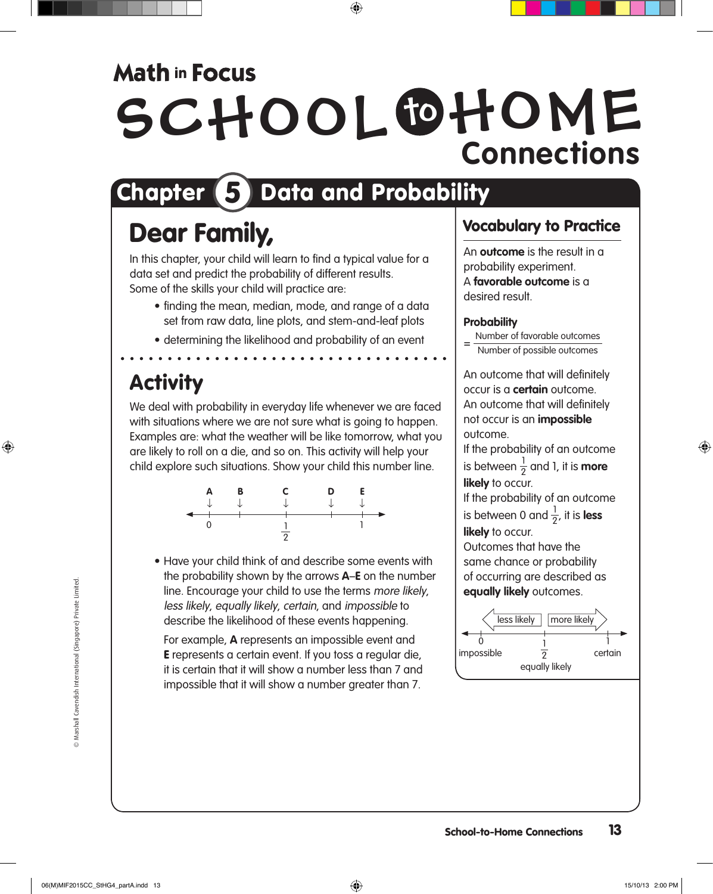## **Math in Focus**

# SCHOOL OHOME **Connections**

# Chapter 5 Data and Probability

## Dear Family,

In this chapter, your child will learn to find a typical value for a data set and predict the probability of different results. Some of the skills your child will practice are:

- finding the mean, median, mode, and range of a data set from raw data, line plots, and stem-and-leaf plots
- determining the likelihood and probability of an event

### **Activity**

We deal with probability in everyday life whenever we are faced with situations where we are not sure what is going to happen. Examples are: what the weather will be like tomorrow, what you are likely to roll on a die, and so on. This activity will help your child explore such situations. Show your child this number line.



• Have your child think of and describe some events with the probability shown by the arrows **A**–**E** on the number line. Encourage your child to use the terms more likely, less likely, equally likely, certain, and impossible to describe the likelihood of these events happening.

For example, **A** represents an impossible event and E represents a certain event. If you toss a regular die, it is certain that it will show a number less than 7 and impossible that it will show a number greater than 7.

### Vocabulary to Practice

An **outcome** is the result in a probability experiment. A **favorable outcome** is a desired result.

#### **Probability**

Number of favorable outcomes

Number of possible outcomes

An outcome that will definitely occur is a **certain** outcome. An outcome that will definitely not occur is an **impossible** outcome.

If the probability of an outcome is between  $\frac{1}{2}$  and 1, it is **more likely** to occur.

If the probability of an outcome is between 0 and  $\frac{1}{2}$ , it is **less likely** to occur.

Outcomes that have the same chance or probability of occurring are described as **equally likely** outcomes.